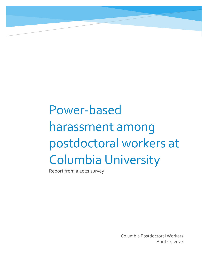# Power-based harassment among postdoctoral workers at Columbia University

Report from a 2021 survey

Columbia Postdoctoral Workers April 12, 2022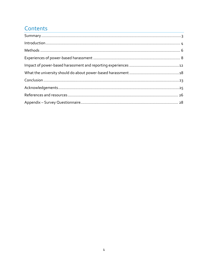## Contents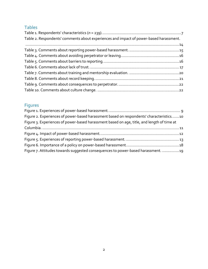### Tables

| Table 2. Respondents' comments about experiences and impact of power-based harassment. |  |
|----------------------------------------------------------------------------------------|--|
|                                                                                        |  |
|                                                                                        |  |
|                                                                                        |  |
|                                                                                        |  |
|                                                                                        |  |
|                                                                                        |  |
|                                                                                        |  |
|                                                                                        |  |
|                                                                                        |  |

## Figures

| Figure 2. Experiences of power-based harassment based on respondents' characteristics10    |  |
|--------------------------------------------------------------------------------------------|--|
| Figure 3. Experiences of power-based harassment based on age, title, and length of time at |  |
|                                                                                            |  |
|                                                                                            |  |
|                                                                                            |  |
|                                                                                            |  |
| Figure 7. Attitudes towards suggested consequences to power-based harassment. 19           |  |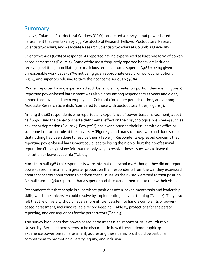## <span id="page-3-0"></span>Summary

In 2021, Columbia Postdoctoral Workers (CPW) conducted a survey about power-based harassment that was taken by 239 Postdoctoral Research Fellows, Postdoctoral Research Scientists/Scholars, and Associate Research Scientists/Scholars at Columbia University.

Over two-thirds (69%) of respondents reported having experienced at least one form of powerbased harassment [\(Figure 1\)](#page-9-0). Some of the most frequently reported behaviors included: receiving belittling, humiliating, or malicious remarks from a superior (40%); being given unreasonable workloads (41%); not being given appropriate credit for work contributions (45%); and superiors refusing to take their concerns seriously (46%).

Women reported having experienced such behaviors in greater proportion than men [\(Figure 2\)](#page-10-0). Reporting power-based harassment was also higher among respondents 35 years and older, among those who had been employed at Columbia for longer periods of time, and among Associate Research Scientists (compared to those with postdoctoral titles; [Figure 3\)](#page-11-0).

Among the 168 respondents who reported any experience of power-based harassment, about half (49%) said the behaviors had a detrimental effect on their psychological well-being such as anxiety or depression [\(Figure 4\)](#page-12-1). Few (27%) had ever discussed their issues with an office or someone in a formal role at the university [\(Figure 5\)](#page-13-0), and many of those who had done so said that nothing had been done to resolve them [\(Table 3\)](#page-15-0). Respondents expressed concerns that reporting power-based harassment could lead to losing their job or hurt their professional reputation [\(Table 5\)](#page-16-1). Many felt that the only way to resolve these issues was to leave the institution or leave academia [\(Table 4\)](#page-16-0).

More than half (56%) of respondents were international scholars. Although they did not report power-based harassment in greater proportion than respondents from the US, they expressed greater concerns about trying to address these issues, as their visas were tied to their position. A small number (7%) reported that a superior had threatened them not to renew their visas.

Respondents felt that people in supervisory positions often lacked mentorship and leadership skills, which the university could resolve by implementing relevant training [\(Table 7\)](#page-20-0). They also felt that the university should have a more efficient system to handle complaints of powerbased harassment, including reliable record keeping [\(Table 8\)](#page-21-0), protections for the person reporting, and consequences for the perpetrators [\(Table 9\)](#page-22-0).

This survey highlights that power-based harassment is an important issue at Columbia University. Because there seems to be disparities in how different demographic groups experience power-based harassment, addressing these behaviors should be part of a commitment to promoting diversity, equity, and inclusion.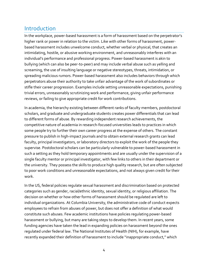## <span id="page-4-0"></span>Introduction

In the workplace, power-based harassment is a form of harassment based on the perpetrator's higher rank or power in relation to the victim. Like with other forms of harassment, powerbased harassment includes unwelcome conduct, whether verbal or physical, that creates an intimidating, hostile, or abusive working environment, and unreasonably interferes with an individual's performance and professional progress. Power-based harassment is akin to bullying (which can also be peer-to-peer) and may include verbal abuse such as yelling and screaming, the use of insulting language or negative stereotypes, threats, intimidation, or spreading malicious rumors. Power-based harassment also includes behaviors through which perpetrators abuse their authority to take unfair advantage of the work of subordinates or stifle their career progression. Examples include setting unreasonable expectations, punishing trivial errors, unreasonably scrutinizing work and performance, giving unfair performance reviews, or failing to give appropriate credit for work contributions.

In academia, the hierarchy existing between different ranks of faculty members, postdoctoral scholars, and graduate and undergraduate students creates power differentials that can lead to different forms of abuse. By rewarding independent research achievements, the competitive nature of academia in research-focused universities leads to practices in which some people try to further their own career progress at the expense of others. The constant pressure to publish in high-impact journals and to obtain external research grants can lead faculty, principal investigators, or laboratory directors to exploit the work of the people they supervise. Postdoctoral scholars can be particularly vulnerable to power-based harassment in such a setting as they hold temporary appointments and are usually under the supervision of a single faculty mentor or principal investigator, with few links to others in their department or the university. They possess the skills to produce high quality research, but are often subjected to poor work conditions and unreasonable expectations, and not always given credit for their work.

In the US, federal policies regulate sexual harassment and discrimination based on protected categories such as gender, racial/ethnic identity, sexual identity, or religious affiliation. The decision on whether or how other forms of harassment should be regulated are left to individual organizations. At Columbia University, the administrative code of conduct expects employees to refrain from abuses of power, but does not offer a definition of what would constitute such abuses. Few academic institutions have policies regulating power-based harassment or bullying, but many are taking steps to develop them. In recent years, some funding agencies have taken the lead in expanding policies on harassment beyond the ones regulated under federal law. The National Institutes of Health (NIH), for example, have recently expanded their definition of harassment to include "inappropriate conduct," which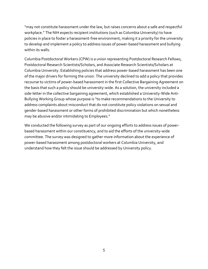"may not constitute harassment under the law, but raises concerns about a safe and respectful workplace." The NIH expects recipient institutions (such as Columbia University) to have policies in place to foster a harassment-free environment, making it a priority for the university to develop and implement a policy to address issues of power-based harassment and bullying within its walls.

Columbia Postdoctoral Workers (CPW) is a union representing Postdoctoral Research Fellows, Postdoctoral Research Scientists/Scholars, and Associate Research Scientists/Scholars at Columbia University. Establishing policies that address power-based harassment has been one of the major drivers for forming the union. The university declined to add a policy that provides recourse to victims of power-based harassment in the first Collective Bargaining Agreement on the basis that such a policy should be university-wide. As a solution, the university included a side-letter in the collective bargaining agreement, which established a University-Wide Anti-Bullying Working Group whose purpose is "to make recommendations to the University to address complaints about misconduct that do not constitute policy violations on sexual and gender-based harassment or other forms of prohibited discrimination but which nonetheless may be abusive and/or intimidating to Employees."

We conducted the following survey as part of our ongoing efforts to address issues of powerbased harassment within our constituency, and to aid the efforts of the university-wide committee. The survey was designed to gather more information about the experience of power-based harassment among postdoctoral workers at Columbia University, and understand how they felt the issue should be addressed by University policy.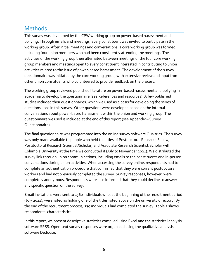## <span id="page-6-0"></span>**Methods**

This survey was developed by the CPW working group on power-based harassment and bullying. Through emails and meetings, every constituent was invited to participate in the working group. After initial meetings and conversations, a core working group was formed, including four union members who had been consistently attending the meetings. The activities of the working group then alternated between meetings of the four core working group members and meetings open to every constituent interested in contributing to union activities related to the issue of power-based harassment. The development of the survey questionnaire was initiated by the core working group, with extensive review and input from other union constituents who volunteered to provide feedback on the process.

The working group reviewed published literature on power-based harassment and bullying in academia to develop the questionnaire (se[e References and resources\)](#page-26-0). A few published studies included their questionnaires, which we used as a basis for developing the series of questions used in this survey. Other questions were developed based on the internal conversations about power-based harassment within the union and working group. The questionnaire we used is included at the end of this report (se[e Appendix](#page-28-0) – Survey [Questionnaire\)](#page-28-0).

The final questionnaire was programmed into the online survey software Qualtrics. The survey was only made available to people who held the titles of Postdoctoral Research Fellow, Postdoctoral Research Scientist/Scholar, and Associate Research Scientist/Scholar within Columbia University at the time we conducted it (July to November 2021). We distributed the survey link through union communications, including emails to the constituents and in-person conversations during union activities. When accessing the survey online, respondents had to complete an authentication procedure that confirmed that they were current postdoctoral workers and had not previously completed the survey. Survey responses, however, were completely anonymous. Respondents were also informed that they could decline to answer any specific question on the survey.

Email invitations were sent to 1560 individuals who, at the beginning of the recruitment period (July 2021), were listed as holding one of the titles listed above on the university directory. By the end of the recruitment process, 239 individuals had completed the survey. [Table 1](#page-7-0) shows respondents' characteristics.

In this report, we present descriptive statistics compiled using Excel and the statistical analysis software SPSS. Open-text survey responses were organized using the qualitative analysis software Dedoose.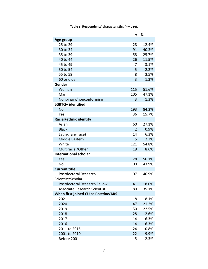<span id="page-7-0"></span>

|                                                   | n              | %     |
|---------------------------------------------------|----------------|-------|
| Age group                                         |                |       |
| 25 to 29                                          | 28             | 12.4% |
| 30 to 34                                          | 91             | 40.3% |
| 35 to 39                                          | 58             | 25.7% |
| 40 to 44                                          | 26             | 11.5% |
| 45 to 49                                          | 7              | 3.1%  |
| 50 to 54                                          | 5              | 2.2%  |
| 55 to 59                                          | 8              | 3.5%  |
| 60 or older                                       | 3              | 1.3%  |
| Gender                                            |                |       |
| Woman                                             | 115            | 51.6% |
| Man                                               | 105            | 47.1% |
| Nonbinary/nonconforming                           | 3              | 1.3%  |
| LGBTQ+ identified                                 |                |       |
| No                                                | 193            | 84.3% |
| Yes                                               | 36             | 15.7% |
| Racial/ethnic identity                            |                |       |
| Asian                                             | 60             | 27.1% |
| <b>Black</b>                                      | $\overline{2}$ | 0.9%  |
| Latinx (any race)                                 | 14             | 6.3%  |
| Middle Eastern                                    | 5              | 2.3%  |
| White                                             | 121            | 54.8% |
| Multiracial/Other                                 | 19             | 8.6%  |
| <b>International scholar</b>                      |                |       |
| Yes                                               | 128            | 56.1% |
| <b>No</b>                                         | 100            | 43.9% |
| <b>Current title</b>                              |                |       |
| <b>Postdoctoral Research</b><br>Scientist/Scholar | 107            | 46.9% |
| Postdoctoral Research Fellow                      | 41             | 18.0% |
| <b>Associate Research Scientist</b>               | 80             | 35.1% |
| When first joined CU as Postdoc/ARS               |                |       |
| 2021                                              | 18             | 8.1%  |
| 2020                                              | 47             | 21.2% |
| 2019                                              | 50             | 22.5% |
| 2018                                              | 28             | 12.6% |
| 2017                                              | 14             | 6.3%  |
| 2016                                              | 14             | 6.3%  |
| 2011 to 2015                                      | 24             | 10.8% |
| 2001 to 2010                                      | 22             | 9.9%  |
| Before 2001                                       | 5              | 2.3%  |

**Table 1. Respondents' characteristics (***n* **= 239).**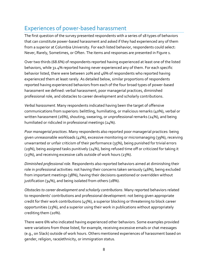## <span id="page-8-0"></span>Experiences of power-based harassment

The first question of the survey presented respondents with a series of 18 types of behaviors that can constitute power-based harassment and asked if they had experienced any of them from a superior at Columbia University. For each listed behavior, respondents could select: Never, Rarely, Sometimes, or Often. The items and responses are presented in [Figure 1.](#page-9-0)

Over two thirds (68.6%) of respondents reported having experienced at least one of the listed behaviors, while 31.4% reported having never experienced any of them. For each specific behavior listed, there were between 20% and 46% of respondents who reported having experienced them at least rarely. As detailed below, similar proportions of respondents reported having experienced behaviors from each of the four broad types of power-based harassment we defined: verbal harassment, poor managerial practices, diminished professional role, and obstacles to career development and scholarly contributions.

*Verbal harassment*. Many respondents indicated having been the target of offensive communications from superiors: belittling, humiliating, or malicious remarks (40%), verbal or written harassment (26%), shouting, swearing, or unprofessional remarks (24%), and being humiliated or ridiculed in professional meetings (24%).

*Poor managerial practices*. Many respondents also reported poor managerial practices: being given unreasonable workloads (41%), excessive monitoring or micromanaging (39%), receiving unwarranted or unfair criticism of their performance (35%), being punished for trivial errors (29%), being assigned tasks punitively (24%), being refused time off or criticized for taking it (23%), and receiving excessive calls outside of work hours (23%).

*Diminished professional role*. Respondents also reported behaviors aimed at diminishing their role in professional activities: not having their concerns taken seriously (46%), being excluded from important meetings (38%), having their decisions questioned or overridden without justification (34%), and being isolated from others (28%).

*Obstacles to career development and scholarly contributions*. Many reported behaviors related to respondents' contributions and professional development: not being given appropriate credit for their work contributions (45%), a superior blocking or threatening to block career opportunities (23%), and a superior using their work in publications without appropriately crediting them (20%).

There were 6% who indicated having experienced other behaviors. Some examples provided were variations from those listed, for example, receiving excessive emails or chat messages (e.g., on Slack) outside of work hours. Others mentioned experiences of harassment based on gender, religion, race/ethnicity, or immigration status.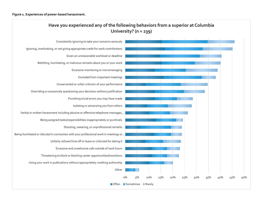<span id="page-9-0"></span>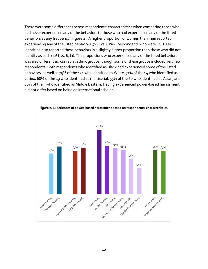There were some differences across respondents' characteristics when comparing those who had never experienced any of the behaviors to those who had experienced any of the listed behaviors at any frequency [\(Figure 2\)](#page-10-0). A higher proportion of women than men reported experiencing any of the listed behaviors (74% vs. 63%). Respondents who were LGBTQ+ identified also reported these behaviors in a slightly higher proportion than those who did not identify as such (72% vs. 67%). The proportions who experienced any of the listed behaviors was also different across racial/ethnic groups, though some of these groups included very few respondents. Both respondents who identified as Black had experienced some of the listed behaviors, as well as 75% of the 121 who identified as White, 71% of the 14 who identified as Latinx, 68% of the 19 who identified as multiracial, 55% of the 60 who identified as Asian, and 40% of the 5 who identified as Middle Eastern. Having experienced power-based harassment did not differ based on being an international scholar.

<span id="page-10-0"></span>

**Figure 2. Experiences of power-based harassment based on respondents' characteristics.**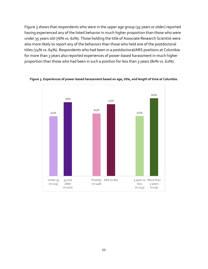[Figure 3](#page-11-0) shows that respondents who were in the upper age group (35 years or older) reported having experienced any of the listed behavior in much higher proportion than those who were under 35 years old (76% vs. 61%). Those holding the title of Associate Research Scientist were also more likely to report any of the behaviors than those who held one of the postdoctoral titles (74% vs. 64%). Respondents who had been in a postdoctoral/ARS positions at Columbia for more than 3 years also reported experiences of power-based harassment in much higher proportion than those who had been in such a position for less than 3 years (80% vs. 62%).



<span id="page-11-0"></span>**Figure 3. Experiences of power-based harassment based on age, title, and length of time at Columbia.**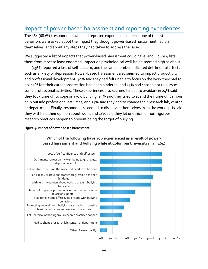## <span id="page-12-0"></span>Impact of power-based harassment and reporting experiences

The 164 (68.6%) respondents who had reported experiencing at least one of the listed behaviors were asked about the impact they thought power-based harassment had on themselves, and about any steps they had taken to address the issue.

We suggested a list of impacts that power-based harassment could have, and [Figure 4](#page-12-1) lists them from most to least endorsed. Impact on psychological well-being seemed high as about half (49%) reported a loss of self-esteem, and the same number indicated detrimental effects such as anxiety or depression. Power-based harassment also seemed to impact productivity and professional development: 49% said they had felt unable to focus on the work they had to do, 42% felt their career progression had been hindered, and 27% had chosen not to pursue some professional activities. These experiences also seemed to lead to avoidance: 24% said they took time off to cope or avoid bullying, 19% said they tried to spend their time off campus or in outside professional activities, and 14% said they had to change their research lab, center, or department. Finally, respondents seemed to dissociate themselves from the work: 40% said they withheld their opinion about work, and 18% said they let unethical or non-rigorous research practices happen to prevent being the target of bullying.



<span id="page-12-1"></span>**Figure 4. Impact of power-based harassment.**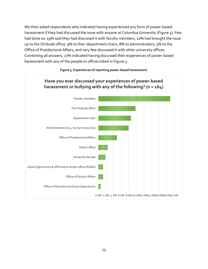We then asked respondents who indicated having experienced any form of power-based harassment if they had discussed the issue with anyone at Columbia University (Figure 5). Few had done so: 19% said they had discussed it with faculty members, 10% had brought the issue up to the Ombuds office, 9% to their department chairs, 8% to administrators, 5% to the Office of Postdoctoral Affairs, and very few discussed it with other university offices. Combining all answers, 27% indicated having discussed their experiences of power-based harassment with any of the people or offices listed in [Figure 5.](#page-13-0)

<span id="page-13-0"></span>

#### **Figure 5. Experiences of reporting power-based harassment.**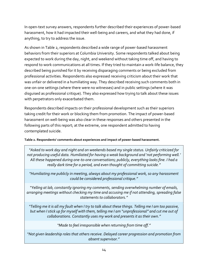In open-text survey answers, respondents further described their experiences of power-based harassment, how it had impacted their well-being and careers, and what they had done, if anything, to try to address the issue.

As shown in [Table 2,](#page-14-0) respondents described a wide range of power-based harassment behaviors from their superiors at Columbia University. Some respondents talked about being expected to work during the day, night, and weekend without taking time off, and having to respond to work communications at all times. If they tried to maintain a work-life balance, they described being punished for it by receiving disparaging comments or being excluded from professional activities. Respondents also expressed receiving criticism about their work that was unfair or delivered in a humiliating way. They described receiving such comments both in one-on-one settings (where there were no witnesses) and in public settings (where it was disguised as professional critique). They also expressed how trying to talk about these issues with perpetrators only exacerbated them.

Respondents described impacts on their professional development such as their superiors taking credit for their work or blocking them from promotion. The impact of power-based harassment on well-being was also clear in these responses and others presented in the following parts of this report; at the extreme, one respondent admitted to having contemplated suicide.

#### <span id="page-14-0"></span>**Table 2. Respondents' comments about experiences and impact of power-based harassment.**

*"Asked to work day and night and on weekends based my single status. Unfairly criticized for not producing useful data. Humiliated for having a weak background and 'not performing well.' All these happened during one-to-one conversations; publicly, everything looks fine. I had a really dark time for a period, and even thought of committing suicide."*

*"Humiliating me publicly in meeting, always about my professional work, so any harassment could be considered professional critique."*

*"Yelling at lab, constantly ignoring my comments, sending overwhelming number of emails, arranging meetings without checking my time and accusing me if not attending, spreading false statements to collaborators."*

*"Telling me it is all my fault when I try to talk about these things. Telling me I am too passive, but when I stick up for myself with them, telling me I am "unprofessional" and cut me out of collaborations. Constantly uses my work and presents it as their own."*

*"Made to feel irresponsible when returning from time off."*

*"Not given leadership roles that others receive. Delayed career progression and promotion from absent supervisor."*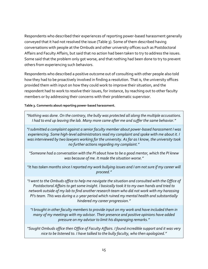Respondents who described their experiences of reporting power-based harassment generally conveyed that it had not resolved the issue [\(Table 3\)](#page-15-0). Some of them described having conversations with people at the Ombuds and other university offices such as Postdoctoral Affairs and Faculty Affairs, but said that no action had been taken to try to address the issues. Some said that the problem only got worse, and that nothing had been done to try to prevent others from experiencing such behaviors.

Respondents who described a positive outcome out of consulting with other people also told how they had to be proactively involved in finding a resolution. That is, the university offices provided them with input on how they could work to improve their situation, and the respondent had to work to resolve their issues, for instance, by reaching out to other faculty members or by addressing their concerns with their problematic supervisor.

#### <span id="page-15-0"></span>**Table 3. Comments about reporting power-based harassment.**

*"Nothing was done. On the contrary, the bully was protected all along the multiple accusations. I had to end up leaving the lab. Many more came after me and suffer the same behavior."* 

*"I submitted a complaint against a senior faculty member about power-based harassment I was experiencing. Some high-level administrators read my complaint and spoke with me about it. I was interviewed by two lawyers working for the university. As far as I know, the university took no further actions regarding my complaint."*

*"Someone had a conversation with the PI about how to be a good mentor, which the PI knew was because of me. It made the situation worse."*

*"It has taken months since I reported my work bullying issues and I am not sure if my career will proceed."*

*"I went to the Ombuds office to help me navigate the situation and consulted with the Office of Postdoctoral Affairs to get some insight. I basically took it to my own hands and tried to network outside of my lab to find another research team who did not work with my harassing PI's team. This was during a 2-year period which ruined my mental health and substantially hindered my career progression."*

*"I brought in other faculty members to provide input on my work and have included them in many of my meetings with my advisor. Their presence and positive opinions have added pressure on my advisor to limit his disparaging remarks."*

*"Sought Ombuds office then Office of Faculty Affairs. I found incredible support and it was very nice to be listened to. I have talked to the bully faculty, who then apologized."*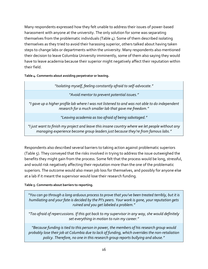Many respondents expressed how they felt unable to address their issues of power-based harassment with anyone at the university. The only solution for some was separating themselves from the problematic individuals [\(Table 4\)](#page-16-0). Some of them described isolating themselves as they tried to avoid their harassing superior, others talked about having taken steps to change labs or departments within the university. Many respondents also mentioned their decision to leave Columbia University imminently, some of them also saying they would have to leave academia because their superior might negatively affect their reputation within their field.

<span id="page-16-0"></span>**Table 4. Comments about avoiding perpetrator or leaving.**

| "Isolating myself, feeling constantly afraid to self-advocate."                                                                                                                     |
|-------------------------------------------------------------------------------------------------------------------------------------------------------------------------------------|
| "Avoid mentor to prevent potential issues."                                                                                                                                         |
| "I gave up a higher profile lab where I was not listened to and was not able to do independent<br>research for a much smaller lab that gave me freedom."                            |
| "Leaving academia as too afraid of being sabotaged."                                                                                                                                |
| "I just want to finish my project and leave this insane country where we let people without any<br>managing experience become group leaders just because they're from famous labs." |

Respondents also described several barriers to taking action against problematic superiors [\(Table 5\)](#page-16-1). They conveyed that the risks involved in trying to address the issue outweighed the benefits they might gain from the process. Some felt that the process would be long, stressful, and would risk negatively affecting their reputation more than the one of the problematic superiors. The outcome would also mean job loss for themselves, and possibly for anyone else at a lab if it meant the supervisor would lose their research funding.

#### <span id="page-16-1"></span>**Table 5. Comments about barriers to reporting.**

*"You can go through a long arduous process to prove that you've been treated terribly, but it is humiliating and your fate is decided by the PI's peers. Your work is gone, your reputation gets ruined and you get labeled a problem."*

*"Too afraid of repercussions. If this got back to my supervisor in any way, she would definitely set everything in motion to ruin my career."*

*"Because funding is tied to this person in power, the members of his research group would probably lose their job at Columbia due to lack of funding, which overrides the non-retaliation policy. Therefore, no one in this research group reports bullying and abuse."*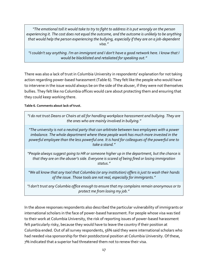*"The emotional toll it would take to try to fight to address it is put wrongly on the person experiencing it. The cost does not equal the outcome, and the outcome is unlikely to be anything that would help the person experiencing the bullying, especially if they are on a job-dependent visa."*

*"I couldn't say anything. I'm an immigrant and I don't have a good network here. I know that I would be blacklisted and retaliated for speaking out."*

There was also a lack of trust in Columbia University in respondents' explanation for not taking action regarding power-based harassment [\(Table 6\)](#page-17-0). They felt like the people who would have to intervene in the issue would always be on the side of the abuser, if they were not themselves bullies. They felt like no Columbia offices would care about protecting them and ensuring that they could keep working there.

<span id="page-17-0"></span>**Table 6. Comments about lack of trust.**

| "I do not trust Deans or Chairs at all for handling workplace harassment and bullying. They are<br>the ones who are mainly involved in bullying."                                                                                                                                                         |
|-----------------------------------------------------------------------------------------------------------------------------------------------------------------------------------------------------------------------------------------------------------------------------------------------------------|
| "The university is not a neutral party that can arbitrate between two employees with a power<br>imbalance. The whole department where these people work has much more invested in the<br>powerful employee than the less powerful one. It is hard for colleagues of the powerful one to<br>take a stand." |
| "People always suggest going to HR or someone higher up in the department, but the chance is<br>that they are on the abuser's side. Everyone is scared of being fired or losing immigration<br>status."                                                                                                   |
| "We all know that any tool that Columbia (or any institution) offers is just to wash their hands<br>of the issue. Those tools are not real, especially for immigrants."                                                                                                                                   |
|                                                                                                                                                                                                                                                                                                           |

*"I don't trust any Columbia office enough to ensure that my complains remain anonymous or to protect me from losing my job."*

In the above responses respondents also described the particular vulnerability of immigrants or international scholars in the face of power-based harassment. For people whose visa was tied to their work at Columbia University, the risk of reporting issues of power-based harassment felt particularly risky, because they would have to leave the country if their position at Columbia ended. Out of all survey respondents, 56% said they were international scholars who had needed visa sponsorship for their postdoctoral position at Columbia University. Of these, 7% indicated that a superior had threatened them not to renew their visa.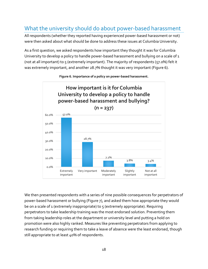## <span id="page-18-0"></span>What the university should do about power-based harassment

All respondents (whether they reported having experienced power-based harassment or not) were then asked about what should be done to address these issues at Columbia University.

As a first question, we asked respondents how important they thought it was for Columbia University to develop a policy to handle power-based harassment and bullying on a scale of 1 (not at all important) to  $\varsigma$  (extremely important). The majority of respondents ( $\varsigma$ 7.0%) felt it was extremely important, and another 28.7% thought it was very important (Figure 6).

<span id="page-18-1"></span>



We then presented respondents with a series of nine possible consequences for perpetrators of power-based harassment or bullying (Figure 7), and asked them how appropriate they would be on a scale of 1 (extremely inappropriate) to  $\zeta$  (extremely appropriate). Requiring perpetrators to take leadership training was the most endorsed solution. Preventing them from taking leadership roles at the department or university level and putting a hold on promotion were also highly ranked. Measures like preventing perpetrators from applying to research funding or requiring them to take a leave of absence were the least endorsed, though still appropriate to at least 40% of respondents.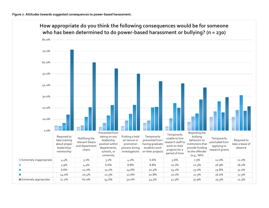<span id="page-19-0"></span>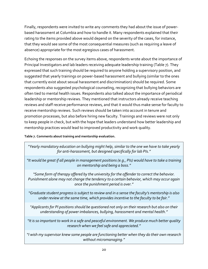Finally, respondents were invited to write any comments they had about the issue of powerbased harassment at Columbia and how to handle it. Many respondents explained that their rating to the items provided above would depend on the severity of the cases, for instance, that they would see some of the most consequential measures (such as requiring a leave of absence) appropriate for the most egregious cases of harassment.

Echoing the responses on the survey items above, respondents wrote about the importance of Principal Investigators and lab leaders receiving adequate leadership training [\(Table 7\)](#page-20-0). They expressed that such training should be required to anyone holding a supervisory position, and suggested that yearly trainings on power-based harassment and bullying (similar to the ones that currently exist about sexual harassment and discrimination) should be required. Some respondents also suggested psychological counseling, recognizing that bullying behaviors are often tied to mental health issues. Respondents also talked about the importance of periodical leadership or mentorship reviews. They mentioned that instructors already receive teaching reviews and staff receive performance reviews, and that it would thus make sense for faculty to receive mentorship reviews. Such reviews should be taken into account in tenure and promotion processes, but also before hiring new faculty. Trainings and reviews were not only to keep people in check, but with the hope that leaders understand how better leadership and mentorship practices would lead to improved productivity and work quality.

<span id="page-20-0"></span>**Table 7. Comments about training and mentorship evaluation.**

*"Yearly mandatory education on bullying might help, similar to the one we have to take yearly for anti-harassment, but designed specifically for lab PIs."*

*"It would be great if all people in management positions (e.g., PIs) would have to take a training on mentorship and being a boss."*

*"Some form of therapy offered by the university for the offender to correct the behavior. Punishment alone may not change the tendency to a certain behavior, which may occur again once the punishment period is over."*

*"Graduate student progress is subject to review and in a sense the faculty's mentorship is also under review at the same time, which provides incentive to the faculty to be fair."*

*"Applicants for PI positions should be questioned not only on their research but also on their understanding of power imbalances, bullying, harassment and mental health."*

*"It is so important to work in a safe and peaceful environment. We produce much better quality research when we feel safe and appreciated."*

*"I wish my supervisor knew some people are functioning better when they do their own research without micromanaging."*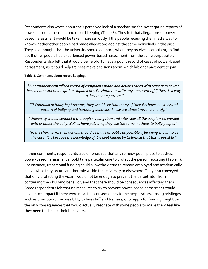Respondents also wrote about their perceived lack of a mechanism for investigating reports of power-based harassment and record keeping [\(Table 8\)](#page-21-0). They felt that allegations of powerbased harassment would be taken more seriously if the people receiving them had a way to know whether other people had made allegations against the same individuals in the past. They also thought that the university should do more, when they receive a complaint, to find out if other people had experienced power-based harassment from the same perpetrator. Respondents also felt that it would be helpful to have a public record of cases of power-based harassment, as it could help trainees make decisions about which lab or department to join.

#### <span id="page-21-0"></span>**Table 8. Comments about record keeping.**

*"A permanent centralized record of complaints made and actions taken with respect to powerbased harassment allegations against any PI. Harder to write any one event off if there is a way to document a pattern."*

*"If Columbia actually kept records, they would see that many of their PIs have a history and pattern of bullying and harassing behavior. These are almost never a one-off."*

*"University should conduct a thorough investigation and interview all the people who worked*  with or under the bully. Bullies have patterns; they use the same methods to bully people."

*"In the short term, their actions should be made as public as possible after being shown to be the case. It is because the knowledge of it is kept hidden by Columbia that this is possible."*

In their comments, respondents also emphasized that any remedy put in place to address power-based harassment should take particular care to protect the person reporting [\(Table 9\)](#page-22-0). For instance, transitional funding could allow the victim to remain employed and academically active while they secure another role within the university or elsewhere. They also conveyed that only protecting the victim would not be enough to prevent the perpetrator from continuing their bullying behavior, and that there should be consequences affecting them. Some respondents felt that no measures to try to prevent power-based harassment would have much impact if there were no actual consequences to the perpetrators. Losing privileges such as promotion, the possibility to hire staff and trainees, or to apply for funding, might be the only consequences that would actually resonate with some people to make them feel like they need to change their behaviors.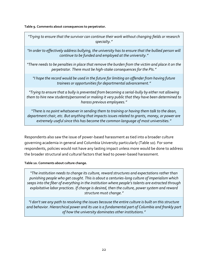<span id="page-22-0"></span>**Table 9. Comments about consequences to perpetrator.**

| "Trying to ensure that the survivor can continue their work without changing fields or research<br>specialty."                                                                                                                                                                    |
|-----------------------------------------------------------------------------------------------------------------------------------------------------------------------------------------------------------------------------------------------------------------------------------|
| "In order to effectively address bullying, the university has to ensure that the bullied person will<br>continue to be funded and employed at the university."                                                                                                                    |
| "There needs to be penalties in place that remove the burden from the victim and place it on the<br>perpetrator. There must be high-stake consequences for the PIs."                                                                                                              |
| "I hope the record would be used in the future for limiting an offender from having future<br>trainees or opportunities for departmental advancement."                                                                                                                            |
| "Trying to ensure that a bully is prevented from becoming a serial-bully by either not allowing<br>them to hire new students/personnel or making it very public that they have been determined to<br>harass previous employees."                                                  |
| "There is no point whatsoever in sending them to training or having them talk to the dean,<br>department chair, etc. But anything that impacts issues related to grants, money, or power are<br>extremely useful since this has become the common language of most universities." |
|                                                                                                                                                                                                                                                                                   |

Respondents also saw the issue of power-based harassment as tied into a broader culture governing academia in general and Columbia University particularly [\(Table 10\)](#page-22-1). For some respondents, policies would not have any lasting impact unless more would be done to address the broader structural and cultural factors that lead to power-based harassment.

<span id="page-22-1"></span>**Table 10. Comments about culture change.**

*"The institution needs to change its culture, reward structures and expectations rather than punishing people who get caught. This is about a centuries-long culture of imperialism which seeps into the fiber of everything in the institution where people's talents are extracted through exploitative labor practices. If change is desired, then the culture, power system and reward structure must change."*

*"I don't see any path to resolving the issues because the entire culture is built on this structure and behavior. Hierarchical power and its use is a fundamental part of Columbia and frankly part of how the university dominates other institutions."*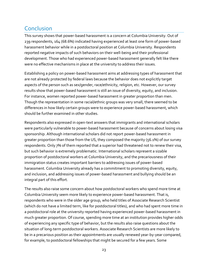## <span id="page-23-0"></span>Conclusion

This survey shows that power-based harassment is a concern at Columbia University. Out of 239 respondents, 164 (68.6%) indicated having experienced at least one form of power-based harassment behavior while in a postdoctoral position at Columbia University. Respondents reported negative impacts of such behaviors on their well-being and their professional development. Those who had experienced power-based harassment generally felt like there were no effective mechanisms in place at the university to address their issues.

Establishing a policy on power-based harassment aims at addressing types of harassment that are not already protected by federal laws because the behavior does not explicitly target aspects of the person such as sex/gender, race/ethnicity, religion, etc. However, our survey results show that power-based harassment is still an issue of diversity, equity, and inclusion. For instance, women reported power-based harassment in greater proportion than men. Though the representation in some racial/ethnic groups was very small, there seemed to be differences in how likely certain groups were to experience power-based harassment, which should be further examined in other studies.

Respondents also expressed in open-text answers that immigrants and international scholars were particularly vulnerable to power-based harassment because of concerns about losing visa sponsorship. Although international scholars did not report power-based harassment in greater proportion than those from the US, they composed the majority (56.1%) of our survey respondents. Only 7% of them reported that a superior had threatened not to renew their visa, but such behavior is extremely problematic. International scholars represent a sizable proportion of postdoctoral workers at Columbia University, and the precariousness of their immigration status creates important barriers to addressing issues of power-based harassment. Columbia University already has a commitment to promoting diversity, equity, and inclusion, and addressing issues of power-based harassment and bullying should be an integral part of this effort.

The results also raise some concern about how postdoctoral workers who spend more time at Columbia University seem more likely to experience power-based harassment. That is, respondents who were in the older age group, who held titles of Associate Research Scientist (which do not have a limited term, like for postdoctoral titles), and who had spent more time in a postdoctoral role at the university reported having experienced power-based harassment in much greater proportion. Of course, spending more time at an institution provides higher odds of experiencing any specific type of behavior, but the results also raise questions about the situation of long-term postdoctoral workers. Associate Research Scientists are more likely to be in a precarious position as their appointments are usually renewed year-by-year compared, for example, to postdoctoral fellowships that might be secured for a few years. Some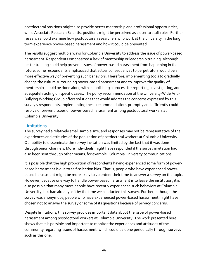postdoctoral positions might also provide better mentorship and professional opportunities, while Associate Research Scientist positions might be perceived as closer to staff roles. Further research should examine how postdoctoral researchers who work at the university in the long term experience power-based harassment and how it could be prevented.

The results suggest multiple ways for Columbia University to address the issue of power-based harassment. Respondents emphasized a lack of mentorship or leadership training. Although better training could help prevent issues of power-based harassment from happening in the future, some respondents emphasized that actual consequences to perpetrators would be a more effective way of preventing such behaviors. Therefore, implementing tools to gradually change the culture surrounding power-based harassment and to improve the quality of mentorship should be done along with establishing a process for reporting, investigating, and adequately acting on specific cases. The policy recommendation of the University-Wide Anti-Bullying Working Group offers solutions that would address the concerns expressed by this survey's respondents. Implementing these recommendations promptly and efficiently could resolve or prevent issues of power-based harassment among postdoctoral workers at Columbia University.

#### **Limitations**

The survey had a relatively small sample size, and responses may not be representative of the experiences and attitudes of the population of postdoctoral workers at Columbia University. Our ability to disseminate the survey invitation was limited by the fact that it was done through union channels. More individuals might have responded if the survey invitation had also been sent through other means, for example, Columbia University communications.

It is possible that the high proportion of respondents having experienced some form of powerbased harassment is due to self-selection bias. That is, people who have experienced powerbased harassment might be more likely to volunteer their time to answer a survey on the topic. However, because one way to handle power-based harassment is to leave the institution, it is also possible that many more people have recently experienced such behaviors at Columbia University, but had already left by the time we conducted this survey. Further, although the survey was anonymous, people who have experienced power-based harassment might have chosen not to answer the survey or some of its questions because of privacy concerns.

Despite limitations, this survey provides important data about the issue of power-based harassment among postdoctoral workers at Columbia University. The work presented here shows that it is possible and important to monitor the experiences and attitudes of the community regarding issues of harassment, which could be done periodically through surveys such as this one.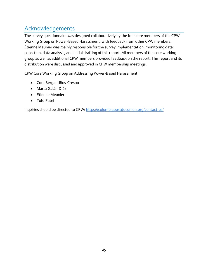## <span id="page-25-0"></span>Acknowledgements

The survey questionnaire was designed collaboratively by the four core members of the CPW Working Group on Power-Based Harassment, with feedback from other CPW members. Étienne Meunier was mainly responsible for the survey implementation, monitoring data collection, data analysis, and initial drafting of this report. All members of the core working group as well as additional CPW members provided feedback on the report. This report and its distribution were discussed and approved in CPW membership meetings.

CPW Core Working Group on Addressing Power-Based Harassment

- Cora Bergantiños-Crespo
- Martá Galán-Diéz
- Étienne Meunier
- Tulsi Patel

Inquiries should be directed to CPW: https://columbiapostdocunion.org/contact-us/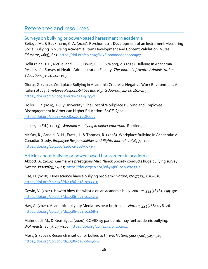## <span id="page-26-0"></span>References and resources

Surveys on bullying or power-based harassment in academia

Beitz, J. M., & Beckmann, C. A. (2021). Psychometric Development of an Instrument Measuring Social Bullying in Nursing Academia: Item Development and Content Validation. *Nurse Educator*, *46*(3), E45. https://doi.org/10.1097/NNE.0000000000000907

DelliFraine, J. L., McClelland, L. E., Erwin, C. O., & Wang, Z. (2014). Bullying In Academia: Results of a Survey of Health Administration Faculty. *The Journal of Health Administration Education*, *31*(2), 147–163.

Giorgi, G. (2012). Workplace Bullying in Academia Creates a Negative Work Environment. An Italian Study. *Employee Responsibilities and Rights Journal*, *24*(4), 261–275. https://doi.org/10.1007/s10672-012-9193-7

Hollis, L. P. (2015). Bully University? The Cost of Workplace Bullying and Employee Disengagement in American Higher Education: *SAGE Open*. https://doi.org/10.1177/2158244015589997

Lester, J. (Ed.). (2013). *Workplace bullying in higher education*. Routledge.

McKay, R., Arnold, D. H., Fratzl, J., & Thomas, R. (2008). Workplace Bullying In Academia: A Canadian Study. *Employee Responsibilities and Rights Journal*, *20*(2), 77–100. https://doi.org/10.1007/s10672-008-9073-3

Articles about bullying or power-based harassment in academia Abbott, A. (2019). Germany's prestigious Max Planck Society conducts huge bullying survey. *Nature*, *571*(7763), 14–15. https://doi.org/10.1038/d41586-019-02052-2

Else, H. (2018). Does science have a bullying problem? *Nature*, *563*(7733), 616–618. https://doi.org/10.1038/d41586-018-07532-5

Gewin, V. (2021). How to blow the whistle on an academic bully. *Nature*, *593*(7858), 299–301. https://doi.org/10.1038/d41586-021-01252-z

Hay, A. (2021). Academic bullying: Mediators hear both sides. *Nature*, *594*(7861), 26–26. https://doi.org/10.1038/d41586-021-01468-z

Mahmoudi, M., & Keashly, L. (2020). COVID-19 pandemic may fuel academic bullying. *BioImpacts*, *10*(3), 139–140. https://doi.org/10.34172/bi.2020.17

Moss, S. (2018). Research is set up for bullies to thrive. *Nature*, *560*(7720), 529–529. https://doi.org/10.1038/d41586-018-06040-w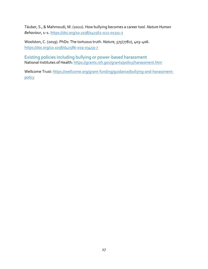Täuber, S., & Mahmoudi, M. (2022). How bullying becomes a career tool. *Nature Human Behaviour*, 1–1. https://doi.org/10.1038/s41562-022-01311-z

Woolston, C. (2019). PhDs: The tortuous truth. *Nature*, *575*(7782), 403–406. https://doi.org/10.1038/d41586-019-03459-7

Existing policies including bullying or power-based harassment National Institutes of Health: https://grants.nih.gov/grants/policy/harassment.htm

Wellcome Trust: https://wellcome.org/grant-funding/guidance/bullying-and-harassmentpolicy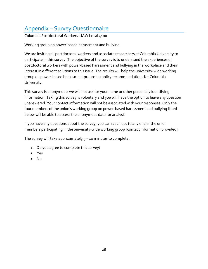## <span id="page-28-0"></span>Appendix – Survey Questionnaire

Columbia Postdoctoral Workers-UAW Local 4100

Working group on power-based harassment and bullying

We are inviting all postdoctoral workers and associate researchers at Columbia University to participate in this survey. The objective of the survey is to understand the experiences of postdoctoral workers with power-based harassment and bullying in the workplace and their interest in different solutions to this issue. The results will help the university-wide working group on power-based harassment proposing policy recommendations for Columbia University.

This survey is anonymous: we will not ask for your name or other personally identifying information. Taking this survey is voluntary and you will have the option to leave any question unanswered. Your contact information will not be associated with your responses. Only the four members of the union's working group on power-based harassment and bullying listed below will be able to access the anonymous data for analysis.

If you have any questions about the survey, you can reach out to any one of the union members participating in the university-wide working group [contact information provided].

The survey will take approximately  $5 - 10$  minutes to complete.

- 1. Do you agree to complete this survey?
- Yes
- No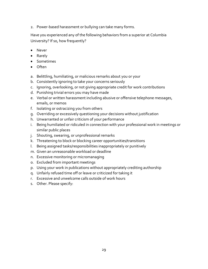2. Power-based harassment or bullying can take many forms.

Have you experienced any of the following behaviors from a superior at Columbia University? If so, how frequently?

- Never
- Rarely
- Sometimes
- Often
- a. Belittling, humiliating, or malicious remarks about you or your
- b. Consistently ignoring to take your concerns seriously
- c. Ignoring, overlooking, or not giving appropriate credit for work contributions
- d. Punishing trivial errors you may have made
- e. Verbal or written harassment including abusive or offensive telephone messages, emails, or memos
- f. Isolating or ostracizing you from others
- g. Overriding or excessively questioning your decisions without justification
- h. Unwarranted or unfair criticism of your performance
- i. Being humiliated or ridiculed in connection with your professional work in meetings or similar public places
- j. Shouting, swearing, or unprofessional remarks
- k. Threatening to block or blocking career opportunities/transitions
- l. Being assigned tasks/responsibilities inappropriately or punitively
- m. Given an unreasonable workload or deadline
- n. Excessive monitoring or micromanaging
- o. Excluded from important meetings
- p. Using your work in publications without appropriately crediting authorship
- q. Unfairly refused time off or leave or criticized for taking it
- r. Excessive and unwelcome calls outside of work hours
- s. Other. Please specify: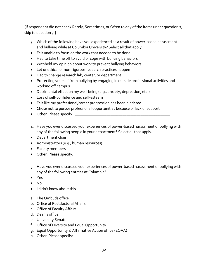[If respondent did not check Rarely, Sometimes, or Often to any of the items under question 2, skip to question 7.]

- 3. Which of the following have you experienced as a result of power-based harassment and bullying while at Columbia University? Select all that apply.
- Felt unable to focus on the work that needed to be done
- Had to take time off to avoid or cope with bullying behaviors
- Withheld my opinion about work to prevent bullying behaviors
- Let unethical or non-rigorous research practices happen
- Had to change research lab, center, or department
- Protecting yourself from bullying by engaging in outside professional activities and working off campus
- Detrimental effect on my well-being (e.g., anxiety, depression, etc.)
- Loss of self-confidence and self-esteem
- Felt like my professional/career progression has been hindered
- Chose not to pursue professional opportunities because of lack of support
- Other. Please specify:
- 4. Have you ever discussed your experiences of power-based harassment or bullying with any of the following people in your department? Select all that apply.
- Department chair
- Administrators (e.g., human resources)
- Faculty members
- Other. Please specify: \_\_\_\_\_\_\_\_\_\_\_\_\_\_\_\_\_\_\_\_\_\_\_\_\_\_\_\_\_\_\_\_\_\_\_\_\_\_\_\_\_\_\_\_\_\_\_\_
- 5. Have you ever discussed your experiences of power-based harassment or bullying with any of the following entities at Columbia?
- Yes
- No
- I didn't know about this
- a. The Ombuds office
- b. Office of Postdoctoral Affairs
- c. Office of Faculty Affairs
- d. Dean's office
- e. University Senate
- f. Office of Diversity and Equal Opportunity
- g. Equal Opportunity & Affirmative Action office (EOAA)
- h. Other. Please specify: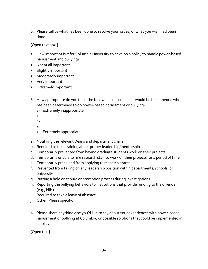6. Please tell us what has been done to resolve your issues, or what you wish had been done.

[Open text box.]

- 7. How important is it for Columbia University to develop a policy to handle power-based harassment and bullying?
- Not at all important
- Slightly important
- Moderately important
- Very important
- Extremely important
- 8. How appropriate do you think the following consequences would be for someone who has been determined to do power-based harassment or bullying?
	- 1- Extremely inappropriate

2-

- 3-
- 4-
- 5- Extremely appropriate
- a. Notifying the relevant Deans and department chairs
- b. Required to take training about proper leadership/mentorship
- c. Temporarily prevented from having graduate students work on their projects
- d. Temporarily unable to hire research staff to work on their projects for a period of time
- e. Temporarily precluded from applying to research grants
- f. Prevented from taking on any leadership position within departments, schools, or university
- g. Putting a hold on tenure or promotion process during investigations
- h. Reporting the bullying behaviors to institutions that provide funding to the offender (e.g., NIH)
- i. Required to take a leave of absence
- j. Other. Please specify:
- 9. Please share anything else you'd like to say about your experiences with power-based harassment or bullying at Columbia, or possible solutions that could be implemented in a policy.

[Open text]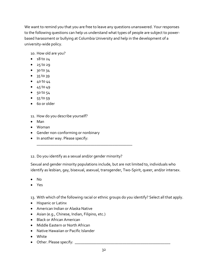We want to remind you that you are free to leave any questions unanswered. Your responses to the following questions can help us understand what types of people are subject to powerbased harassment or bullying at Columbia University and help in the development of a university-wide policy.

10. How old are you?

- $\bullet$  18 to 24
- 25 to 29
- $30 to 34$
- 35 to 39
- $40 \text{ to } 44$
- $45$  to  $49$
- 50 to 54
- $55$  to  $59$
- 60 or older
- 11. How do you describe yourself?
- Man
- Woman
- Gender non-conforming or nonbinary
- In another way. Please specify:

12. Do you identify as a sexual and/or gender minority?

\_\_\_\_\_\_\_\_\_\_\_\_\_\_\_\_\_\_\_\_\_\_\_\_\_\_\_\_\_\_\_\_\_\_\_\_\_\_\_\_\_\_\_\_\_\_\_\_

Sexual and gender minority populations include, but are not limited to, individuals who identify as lesbian, gay, bisexual, asexual, transgender, Two-Spirit, queer, and/or intersex.

- No
- Yes

13. With which of the following racial or ethnic groups do you identify? Select all that apply.

- Hispanic or Latinx
- American Indian or Alaska Native
- Asian (e.g., Chinese, Indian, Filipino, etc.)
- Black or African American
- Middle Eastern or North African
- Native Hawaiian or Pacific Islander
- White
- Other. Please specify: